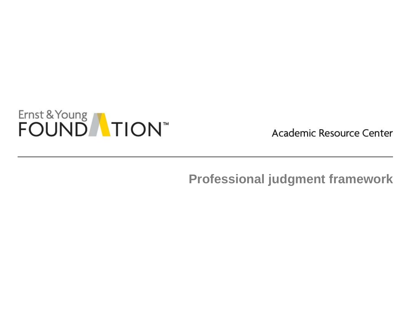

Academic Resource Center

**Professional judgment framework**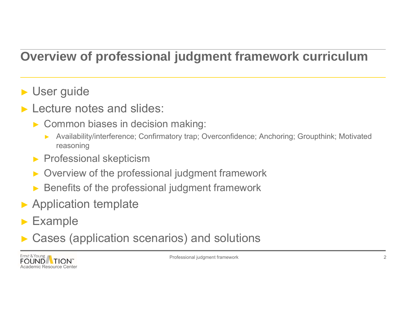## **Overview of professional judgment framework curriculum**

### ► User guide

- ► Lecture notes and slides:
	- ► Common biases in decision making:
		- ► Availability/interference; Confirmatory trap; Overconfidence; Anchoring; Groupthink; Motivated reasoning
	- ►Professional skepticism
	- ►Overview of the professional judgment framework
	- ►Benefits of the professional judgment framework
- ► Application template
- ►Example
- ►Cases (application scenarios) and solutions



Professional judgment framework 2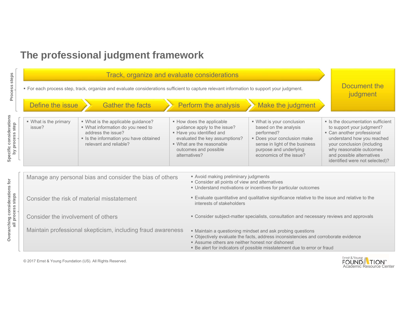#### **The professional judgment framework**



© 2017 Ernst & Young Foundation (US). All Rights Reserved.



Specific considerations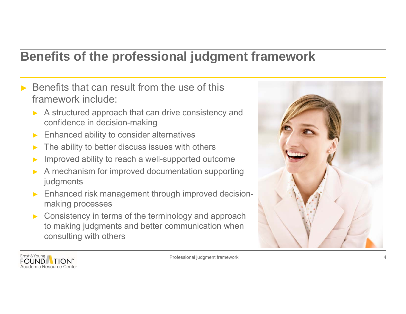#### **Benefits of the professional judgment framework**

- $\triangleright$  Benefits that can result from the use of this framework include:
	- ► A structured approach that can drive consistency and confidence in decision-making
	- ►Enhanced ability to consider alternatives
	- ►The ability to better discuss issues with others
	- ►Improved ability to reach a well-supported outcome
	- ► A mechanism for improved documentation supporting judgments
	- ► Enhanced risk management through improved decisionmaking processes
	- ► Consistency in terms of the terminology and approach to making judgments and better communication when consulting with others



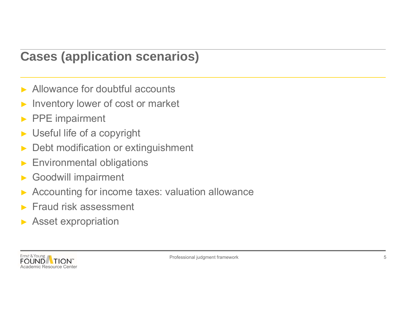### **Cases (application scenarios)**

- ▶ Allowance for doubtful accounts
- ►Inventory lower of cost or market
- ►PPE impairment
- ►Useful life of a copyright
- ►Debt modification or extinguishment
- ►Environmental obligations
- ►Goodwill impairment
- ►Accounting for income taxes: valuation allowance
- ►Fraud risk assessment
- ►Asset expropriation

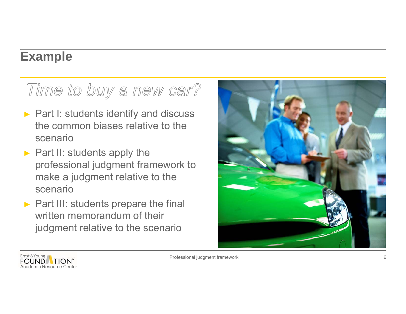#### **Example**

# Time to buy a new car?

- ► Part I: students identify and discuss the common biases relative to the scenario
- ► Part II: students apply the professional judgment framework to make a judgment relative to the scenario
- ► Part III: students prepare the final written memorandum of their judgment relative to the scenario





Professional judgment framework 6